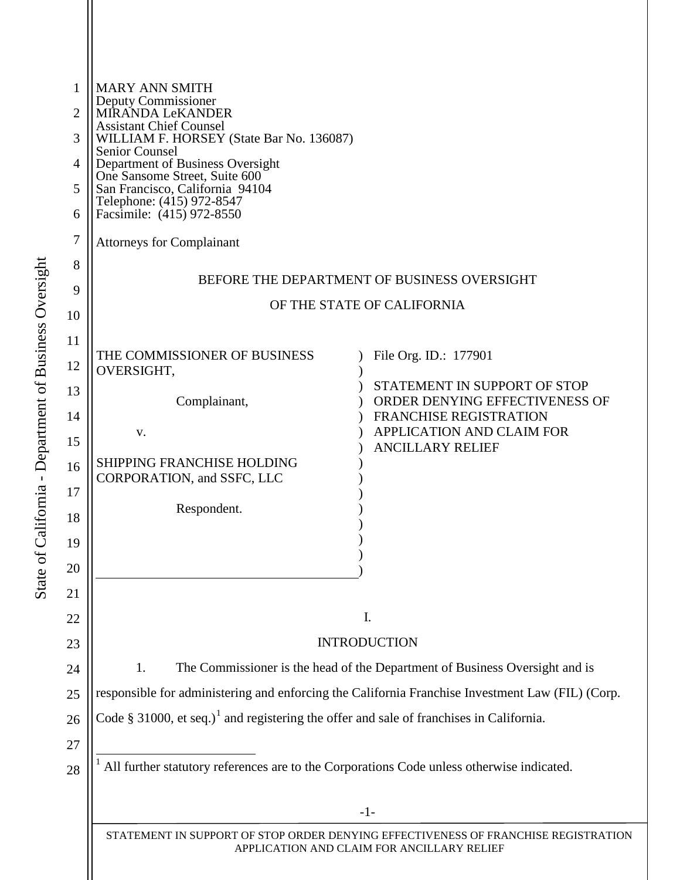<span id="page-0-0"></span>

| 1<br>$\overline{2}$<br>3<br>4<br>5<br>6<br>7 | <b>MARY ANN SMITH</b><br>Deputy Commissioner<br>MÍRANDA LeKANDER<br><b>Assistant Chief Counsel</b><br>WILLIAM F. HORSEY (State Bar No. 136087)<br><b>Senior Counsel</b><br>Department of Business Oversight<br>One Sansome Street, Suite 600<br>San Francisco, California 94104<br>Telephone: (415) 972-8547<br>Facsimile: (415) 972-8550<br><b>Attorneys for Complainant</b> |                                                                |  |
|----------------------------------------------|-------------------------------------------------------------------------------------------------------------------------------------------------------------------------------------------------------------------------------------------------------------------------------------------------------------------------------------------------------------------------------|----------------------------------------------------------------|--|
| 8                                            |                                                                                                                                                                                                                                                                                                                                                                               |                                                                |  |
| 9                                            | BEFORE THE DEPARTMENT OF BUSINESS OVERSIGHT                                                                                                                                                                                                                                                                                                                                   |                                                                |  |
| 10                                           | OF THE STATE OF CALIFORNIA                                                                                                                                                                                                                                                                                                                                                    |                                                                |  |
| 11                                           |                                                                                                                                                                                                                                                                                                                                                                               |                                                                |  |
| 12                                           | THE COMMISSIONER OF BUSINESS<br>OVERSIGHT,                                                                                                                                                                                                                                                                                                                                    | File Org. ID.: 177901                                          |  |
| 13                                           | Complainant,                                                                                                                                                                                                                                                                                                                                                                  | STATEMENT IN SUPPORT OF STOP<br>ORDER DENYING EFFECTIVENESS OF |  |
| 14                                           |                                                                                                                                                                                                                                                                                                                                                                               | <b>FRANCHISE REGISTRATION</b>                                  |  |
| 15                                           | V.                                                                                                                                                                                                                                                                                                                                                                            | APPLICATION AND CLAIM FOR<br><b>ANCILLARY RELIEF</b>           |  |
| 16                                           | <b>SHIPPING FRANCHISE HOLDING</b>                                                                                                                                                                                                                                                                                                                                             |                                                                |  |
| 17                                           | CORPORATION, and SSFC, LLC                                                                                                                                                                                                                                                                                                                                                    |                                                                |  |
| 18                                           | Respondent.                                                                                                                                                                                                                                                                                                                                                                   |                                                                |  |
| 19                                           |                                                                                                                                                                                                                                                                                                                                                                               |                                                                |  |
| 20                                           |                                                                                                                                                                                                                                                                                                                                                                               |                                                                |  |
| 21                                           |                                                                                                                                                                                                                                                                                                                                                                               |                                                                |  |
| 22                                           | I.                                                                                                                                                                                                                                                                                                                                                                            |                                                                |  |
| 23                                           |                                                                                                                                                                                                                                                                                                                                                                               | <b>INTRODUCTION</b>                                            |  |
| 24                                           | The Commissioner is the head of the Department of Business Oversight and is<br>1.                                                                                                                                                                                                                                                                                             |                                                                |  |
| 25                                           | responsible for administering and enforcing the California Franchise Investment Law (FIL) (Corp.                                                                                                                                                                                                                                                                              |                                                                |  |
| 26                                           | Code § 31000, et seq.) <sup>1</sup> and registering the offer and sale of franchises in California.                                                                                                                                                                                                                                                                           |                                                                |  |
| 27                                           |                                                                                                                                                                                                                                                                                                                                                                               |                                                                |  |
| 28                                           | All further statutory references are to the Corporations Code unless otherwise indicated.                                                                                                                                                                                                                                                                                     |                                                                |  |
|                                              | $-1-$                                                                                                                                                                                                                                                                                                                                                                         |                                                                |  |
|                                              | STATEMENT IN SUPPORT OF STOP ORDER DENYING EFFECTIVENESS OF FRANCHISE REGISTRATION<br>APPLICATION AND CLAIM FOR ANCILLARY RELIEF                                                                                                                                                                                                                                              |                                                                |  |
|                                              |                                                                                                                                                                                                                                                                                                                                                                               |                                                                |  |
|                                              |                                                                                                                                                                                                                                                                                                                                                                               |                                                                |  |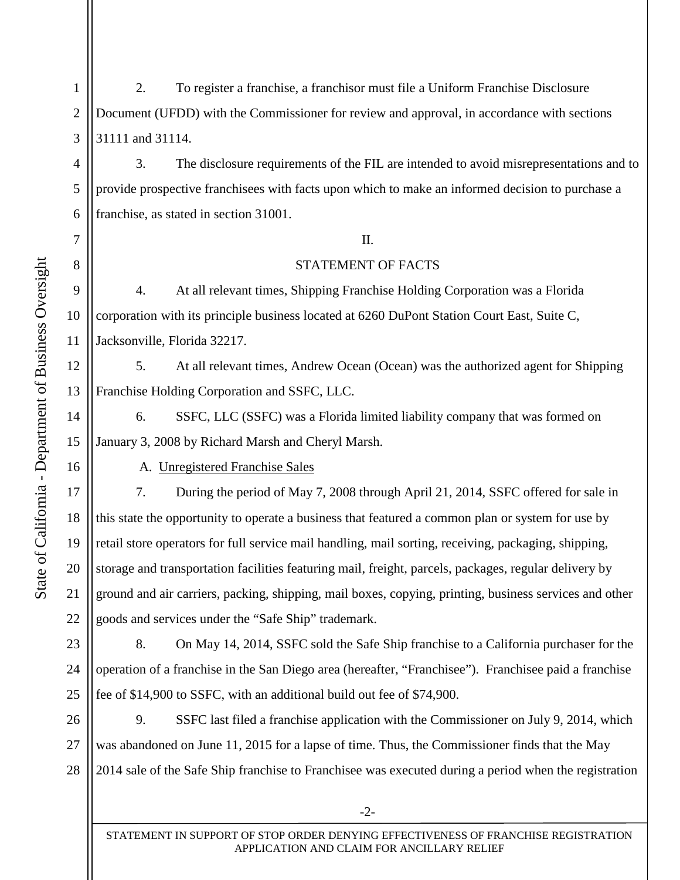State of California - Department of Business Oversight State of California - Department of Business Oversight 4

5

6

7

8

9

10

11

12

13

14

15

16

17

18

19

20

21

22

1 2 3 2. To register a franchise, a franchisor must file a Uniform Franchise Disclosure Document (UFDD) with the Commissioner for review and approval, in accordance with sections 31111 and 31114.

3. The disclosure requirements of the FIL are intended to avoid misrepresentations and to provide prospective franchisees with facts upon which to make an informed decision to purchase a franchise, as stated in section 31001.

## II.

## STATEMENT OF FACTS

4. At all relevant times, Shipping Franchise Holding Corporation was a Florida corporation with its principle business located at 6260 DuPont Station Court East, Suite C, Jacksonville, Florida 32217.

5. At all relevant times, Andrew Ocean (Ocean) was the authorized agent for Shipping Franchise Holding Corporation and SSFC, LLC.

6. SSFC, LLC (SSFC) was a Florida limited liability company that was formed on January 3, 2008 by Richard Marsh and Cheryl Marsh.

A. Unregistered Franchise Sales

7. During the period of May 7, 2008 through April 21, 2014, SSFC offered for sale in this state the opportunity to operate a business that featured a common plan or system for use by retail store operators for full service mail handling, mail sorting, receiving, packaging, shipping, storage and transportation facilities featuring mail, freight, parcels, packages, regular delivery by ground and air carriers, packing, shipping, mail boxes, copying, printing, business services and other goods and services under the "Safe Ship" trademark.

23 24 25 8. On May 14, 2014, SSFC sold the Safe Ship franchise to a California purchaser for the operation of a franchise in the San Diego area (hereafter, "Franchisee"). Franchisee paid a franchise fee of \$14,900 to SSFC, with an additional build out fee of \$74,900.

26 27 28 9. SSFC last filed a franchise application with the Commissioner on July 9, 2014, which was abandoned on June 11, 2015 for a lapse of time. Thus, the Commissioner finds that the May 2014 sale of the Safe Ship franchise to Franchisee was executed during a period when the registration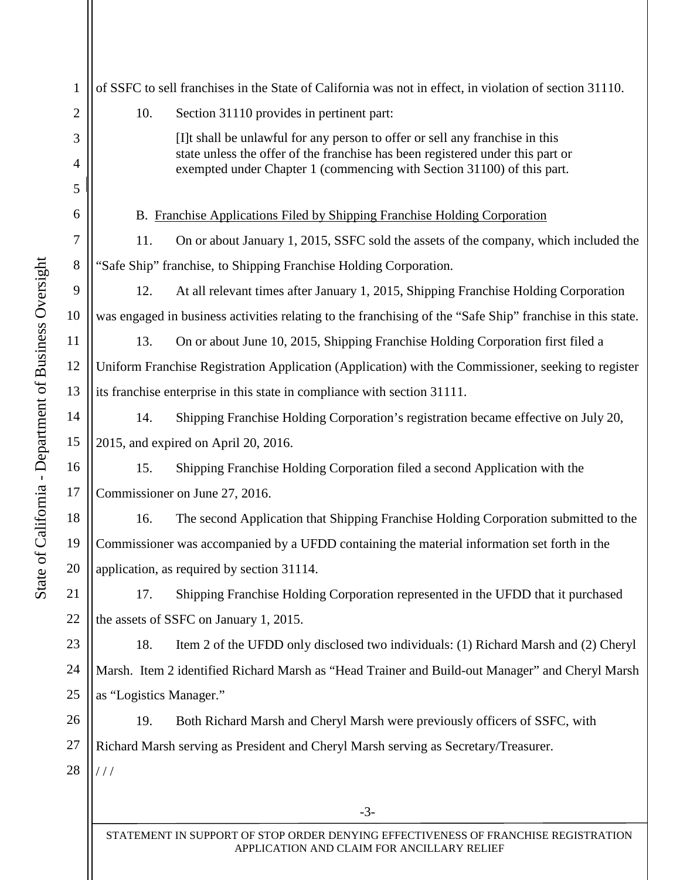| $\mathbf{1}$   | of SSFC to sell franchises in the State of California was not in effect, in violation of section 31110.    |                                                                                                                                                                                                                                          |  |
|----------------|------------------------------------------------------------------------------------------------------------|------------------------------------------------------------------------------------------------------------------------------------------------------------------------------------------------------------------------------------------|--|
| $\overline{2}$ | 10.                                                                                                        | Section 31110 provides in pertinent part:                                                                                                                                                                                                |  |
| 3<br>4         |                                                                                                            | [I]t shall be unlawful for any person to offer or sell any franchise in this<br>state unless the offer of the franchise has been registered under this part or<br>exempted under Chapter 1 (commencing with Section 31100) of this part. |  |
| 5              |                                                                                                            |                                                                                                                                                                                                                                          |  |
| 6              | B. Franchise Applications Filed by Shipping Franchise Holding Corporation                                  |                                                                                                                                                                                                                                          |  |
| 7              | 11.                                                                                                        | On or about January 1, 2015, SSFC sold the assets of the company, which included the                                                                                                                                                     |  |
| 8              | "Safe Ship" franchise, to Shipping Franchise Holding Corporation.                                          |                                                                                                                                                                                                                                          |  |
| 9              | 12.                                                                                                        | At all relevant times after January 1, 2015, Shipping Franchise Holding Corporation                                                                                                                                                      |  |
| 10             | was engaged in business activities relating to the franchising of the "Safe Ship" franchise in this state. |                                                                                                                                                                                                                                          |  |
| 11             | 13.                                                                                                        | On or about June 10, 2015, Shipping Franchise Holding Corporation first filed a                                                                                                                                                          |  |
| 12             | Uniform Franchise Registration Application (Application) with the Commissioner, seeking to register        |                                                                                                                                                                                                                                          |  |
| 13             | its franchise enterprise in this state in compliance with section 31111.                                   |                                                                                                                                                                                                                                          |  |
| 14             | 14.                                                                                                        | Shipping Franchise Holding Corporation's registration became effective on July 20,                                                                                                                                                       |  |
| 15             | 2015, and expired on April 20, 2016.                                                                       |                                                                                                                                                                                                                                          |  |
| 16             | 15.                                                                                                        | Shipping Franchise Holding Corporation filed a second Application with the                                                                                                                                                               |  |
| 17             | Commissioner on June 27, 2016.                                                                             |                                                                                                                                                                                                                                          |  |
| 18             | 16.                                                                                                        | The second Application that Shipping Franchise Holding Corporation submitted to the                                                                                                                                                      |  |
| 19             | Commissioner was accompanied by a UFDD containing the material information set forth in the                |                                                                                                                                                                                                                                          |  |
| 20             | application, as required by section 31114.                                                                 |                                                                                                                                                                                                                                          |  |
| 21             | 17.                                                                                                        | Shipping Franchise Holding Corporation represented in the UFDD that it purchased                                                                                                                                                         |  |
| 22             | the assets of SSFC on January 1, 2015.                                                                     |                                                                                                                                                                                                                                          |  |
| 23             | 18.                                                                                                        | Item 2 of the UFDD only disclosed two individuals: (1) Richard Marsh and (2) Cheryl                                                                                                                                                      |  |
| 24             |                                                                                                            | Marsh. Item 2 identified Richard Marsh as "Head Trainer and Build-out Manager" and Cheryl Marsh                                                                                                                                          |  |
| 25             | as "Logistics Manager."                                                                                    |                                                                                                                                                                                                                                          |  |
| 26             | 19.                                                                                                        | Both Richard Marsh and Cheryl Marsh were previously officers of SSFC, with                                                                                                                                                               |  |
| 27             | Richard Marsh serving as President and Cheryl Marsh serving as Secretary/Treasurer.                        |                                                                                                                                                                                                                                          |  |
| 28             | ///                                                                                                        |                                                                                                                                                                                                                                          |  |
|                |                                                                                                            |                                                                                                                                                                                                                                          |  |
|                |                                                                                                            | $-3-$                                                                                                                                                                                                                                    |  |

STATEMENT IN SUPPORT OF STOP ORDER DENYING EFFECTIVENESS OF FRANCHISE REGISTRATION APPLICATION AND CLAIM FOR ANCILLARY RELIEF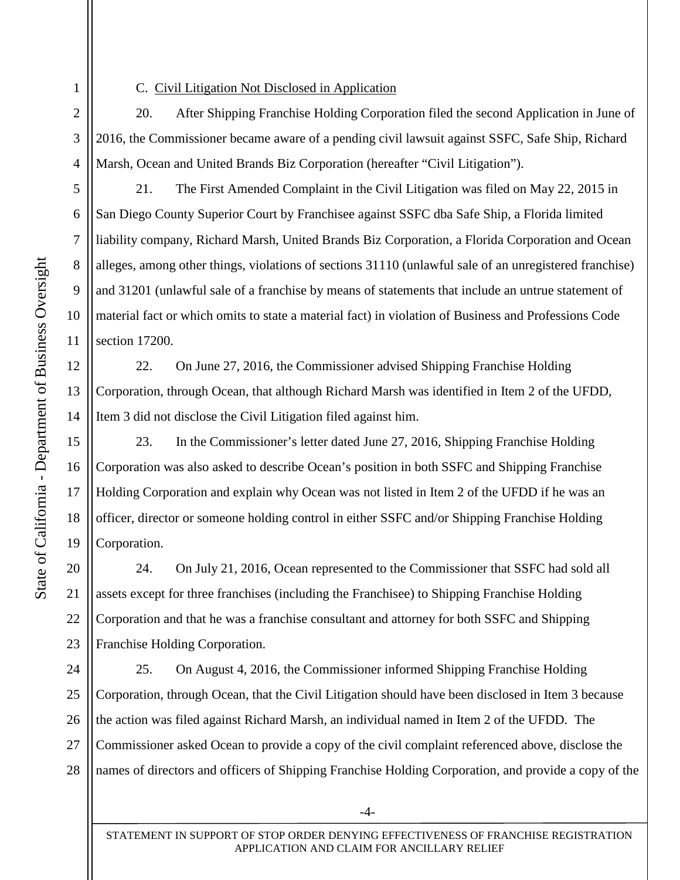1

2

3

4

5

6

7

8

9

10

11

12

13

14

15

16

17

18

19

20

21

22

23

## C. Civil Litigation Not Disclosed in Application

20. After Shipping Franchise Holding Corporation filed the second Application in June of 2016, the Commissioner became aware of a pending civil lawsuit against SSFC, Safe Ship, Richard Marsh, Ocean and United Brands Biz Corporation (hereafter "Civil Litigation").

21. The First Amended Complaint in the Civil Litigation was filed on May 22, 2015 in San Diego County Superior Court by Franchisee against SSFC dba Safe Ship, a Florida limited liability company, Richard Marsh, United Brands Biz Corporation, a Florida Corporation and Ocean alleges, among other things, violations of sections 31110 (unlawful sale of an unregistered franchise) and 31201 (unlawful sale of a franchise by means of statements that include an untrue statement of material fact or which omits to state a material fact) in violation of Business and Professions Code section 17200.

22. On June 27, 2016, the Commissioner advised Shipping Franchise Holding Corporation, through Ocean, that although Richard Marsh was identified in Item 2 of the UFDD, Item 3 did not disclose the Civil Litigation filed against him.

23. In the Commissioner's letter dated June 27, 2016, Shipping Franchise Holding Corporation was also asked to describe Ocean's position in both SSFC and Shipping Franchise Holding Corporation and explain why Ocean was not listed in Item 2 of the UFDD if he was an officer, director or someone holding control in either SSFC and/or Shipping Franchise Holding Corporation.

24. On July 21, 2016, Ocean represented to the Commissioner that SSFC had sold all assets except for three franchises (including the Franchisee) to Shipping Franchise Holding Corporation and that he was a franchise consultant and attorney for both SSFC and Shipping Franchise Holding Corporation.

24 25 26 27 28 25. On August 4, 2016, the Commissioner informed Shipping Franchise Holding Corporation, through Ocean, that the Civil Litigation should have been disclosed in Item 3 because the action was filed against Richard Marsh, an individual named in Item 2 of the UFDD. The Commissioner asked Ocean to provide a copy of the civil complaint referenced above, disclose the names of directors and officers of Shipping Franchise Holding Corporation, and provide a copy of the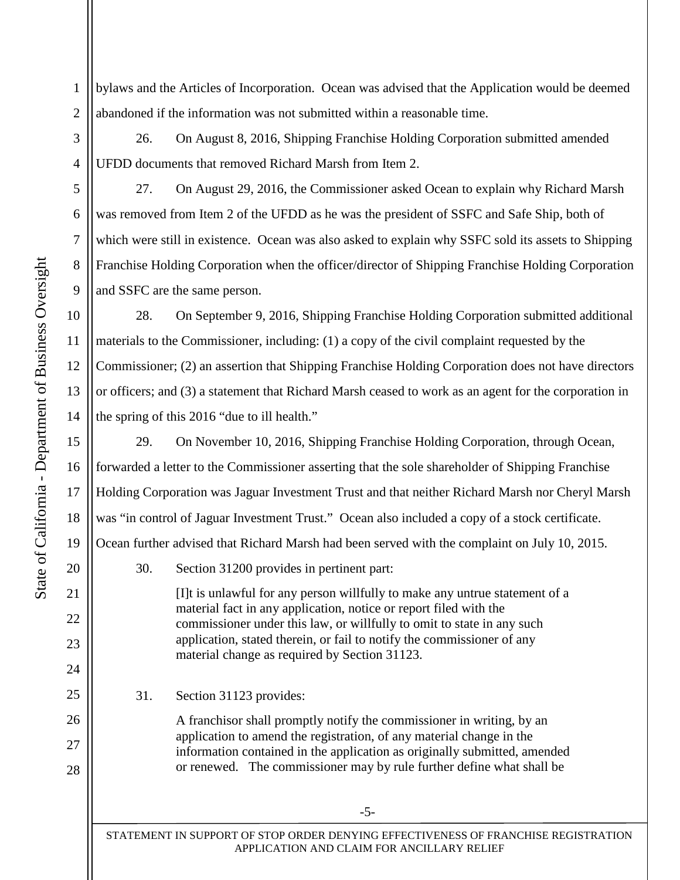1 2 bylaws and the Articles of Incorporation. Ocean was advised that the Application would be deemed abandoned if the information was not submitted within a reasonable time.

26. On August 8, 2016, Shipping Franchise Holding Corporation submitted amended UFDD documents that removed Richard Marsh from Item 2.

27. On August 29, 2016, the Commissioner asked Ocean to explain why Richard Marsh was removed from Item 2 of the UFDD as he was the president of SSFC and Safe Ship, both of which were still in existence. Ocean was also asked to explain why SSFC sold its assets to Shipping Franchise Holding Corporation when the officer/director of Shipping Franchise Holding Corporation and SSFC are the same person.

28. On September 9, 2016, Shipping Franchise Holding Corporation submitted additional materials to the Commissioner, including: (1) a copy of the civil complaint requested by the Commissioner; (2) an assertion that Shipping Franchise Holding Corporation does not have directors or officers; and (3) a statement that Richard Marsh ceased to work as an agent for the corporation in the spring of this 2016 "due to ill health."

29. On November 10, 2016, Shipping Franchise Holding Corporation, through Ocean, forwarded a letter to the Commissioner asserting that the sole shareholder of Shipping Franchise Holding Corporation was Jaguar Investment Trust and that neither Richard Marsh nor Cheryl Marsh was "in control of Jaguar Investment Trust." Ocean also included a copy of a stock certificate. Ocean further advised that Richard Marsh had been served with the complaint on July 10, 2015.

30. Section 31200 provides in pertinent part:

[I]t is unlawful for any person willfully to make any untrue statement of a material fact in any application, notice or report filed with the commissioner under this law, or willfully to omit to state in any such application, stated therein, or fail to notify the commissioner of any material change as required by Section 31123.

31. Section 31123 provides:

A franchisor shall promptly notify the commissioner in writing, by an application to amend the registration, of any material change in the information contained in the application as originally submitted, amended or renewed. The commissioner may by rule further define what shall be

STATEMENT IN SUPPORT OF STOP ORDER DENYING EFFECTIVENESS OF FRANCHISE REGISTRATION APPLICATION AND CLAIM FOR ANCILLARY RELIEF

3

4

5

6

7

8

9

10

11

12

13

14

15

16

17

18

19

20

21

22

23

24

25

26

27

28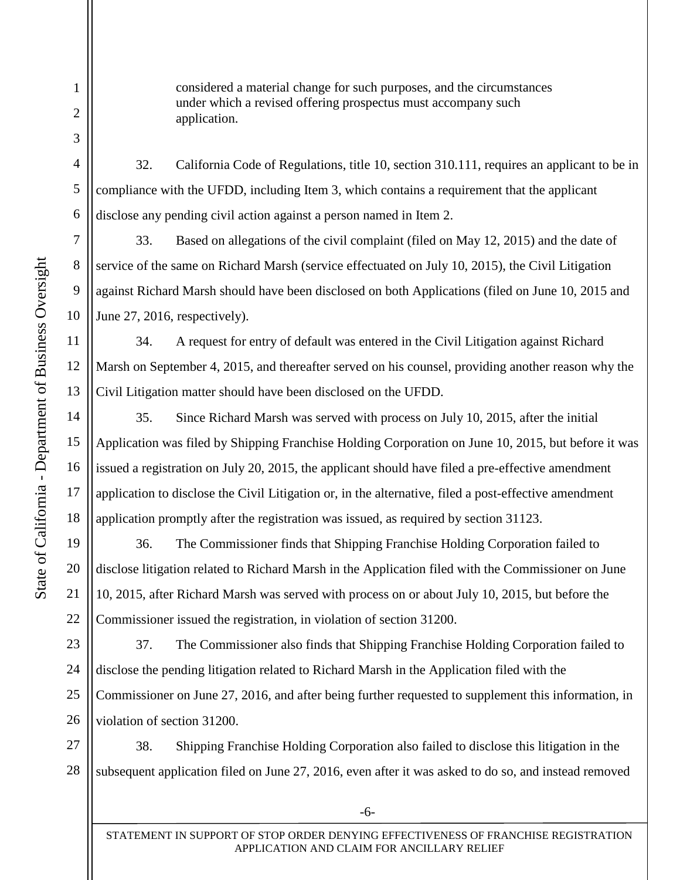considered a material change for such purposes, and the circumstances under which a revised offering prospectus must accompany such application.

32. California Code of Regulations, title 10, section 310.111, requires an applicant to be in compliance with the UFDD, including Item 3, which contains a requirement that the applicant disclose any pending civil action against a person named in Item 2.

33. Based on allegations of the civil complaint (filed on May 12, 2015) and the date of service of the same on Richard Marsh (service effectuated on July 10, 2015), the Civil Litigation against Richard Marsh should have been disclosed on both Applications (filed on June 10, 2015 and June 27, 2016, respectively).

34. A request for entry of default was entered in the Civil Litigation against Richard Marsh on September 4, 2015, and thereafter served on his counsel, providing another reason why the Civil Litigation matter should have been disclosed on the UFDD.

35. Since Richard Marsh was served with process on July 10, 2015, after the initial Application was filed by Shipping Franchise Holding Corporation on June 10, 2015, but before it was issued a registration on July 20, 2015, the applicant should have filed a pre-effective amendment application to disclose the Civil Litigation or, in the alternative, filed a post-effective amendment application promptly after the registration was issued, as required by section 31123.

36. The Commissioner finds that Shipping Franchise Holding Corporation failed to disclose litigation related to Richard Marsh in the Application filed with the Commissioner on June 10, 2015, after Richard Marsh was served with process on or about July 10, 2015, but before the Commissioner issued the registration, in violation of section 31200.

37. The Commissioner also finds that Shipping Franchise Holding Corporation failed to disclose the pending litigation related to Richard Marsh in the Application filed with the Commissioner on June 27, 2016, and after being further requested to supplement this information, in violation of section 31200.

27 28 38. Shipping Franchise Holding Corporation also failed to disclose this litigation in the subsequent application filed on June 27, 2016, even after it was asked to do so, and instead removed

1

2

3

4

5

6

7

8

9

10

11

12

13

14

15

16

17

18

19

20

21

22

23

24

25

26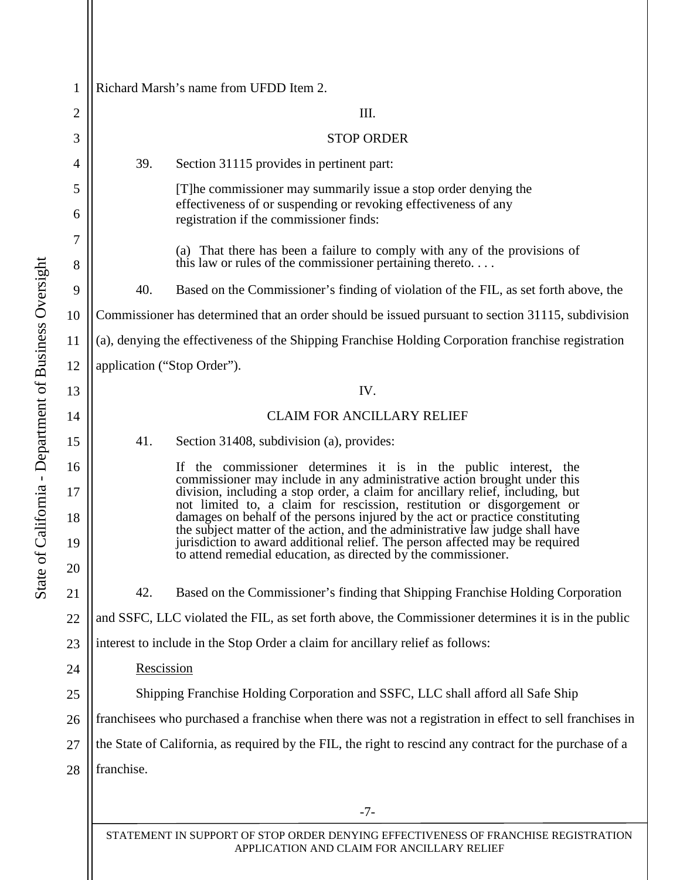| Richard Marsh's name from UFDD Item 2.                                                                   |                                                                                                                                                                                                                                               |  |
|----------------------------------------------------------------------------------------------------------|-----------------------------------------------------------------------------------------------------------------------------------------------------------------------------------------------------------------------------------------------|--|
| III.                                                                                                     |                                                                                                                                                                                                                                               |  |
| <b>STOP ORDER</b>                                                                                        |                                                                                                                                                                                                                                               |  |
| 39.                                                                                                      | Section 31115 provides in pertinent part:                                                                                                                                                                                                     |  |
|                                                                                                          | [T] he commissioner may summarily issue a stop order denying the                                                                                                                                                                              |  |
|                                                                                                          | effectiveness of or suspending or revoking effectiveness of any<br>registration if the commissioner finds:                                                                                                                                    |  |
|                                                                                                          | (a) That there has been a failure to comply with any of the provisions of<br>this law or rules of the commissioner pertaining thereto                                                                                                         |  |
| 40.                                                                                                      | Based on the Commissioner's finding of violation of the FIL, as set forth above, the                                                                                                                                                          |  |
| Commissioner has determined that an order should be issued pursuant to section 31115, subdivision<br>10  |                                                                                                                                                                                                                                               |  |
| (a), denying the effectiveness of the Shipping Franchise Holding Corporation franchise registration      |                                                                                                                                                                                                                                               |  |
| application ("Stop Order").                                                                              |                                                                                                                                                                                                                                               |  |
| IV.                                                                                                      |                                                                                                                                                                                                                                               |  |
|                                                                                                          | <b>CLAIM FOR ANCILLARY RELIEF</b>                                                                                                                                                                                                             |  |
| 41.                                                                                                      | Section 31408, subdivision (a), provides:                                                                                                                                                                                                     |  |
|                                                                                                          | If the commissioner determines it is in the public interest, the<br>commissioner may include in any administrative action brought under this                                                                                                  |  |
|                                                                                                          | division, including a stop order, a claim for ancillary relief, including, but<br>not limited to, a claim for rescission, restitution or disgorgement or                                                                                      |  |
|                                                                                                          | damages on behalf of the persons injured by the act or practice constituting<br>the subject matter of the action, and the administrative law judge shall have<br>jurisdiction to award additional relief. The person affected may be required |  |
|                                                                                                          | to attend remedial education, as directed by the commissioner.                                                                                                                                                                                |  |
| 42.                                                                                                      | Based on the Commissioner's finding that Shipping Franchise Holding Corporation                                                                                                                                                               |  |
|                                                                                                          | and SSFC, LLC violated the FIL, as set forth above, the Commissioner determines it is in the public                                                                                                                                           |  |
| interest to include in the Stop Order a claim for ancillary relief as follows:                           |                                                                                                                                                                                                                                               |  |
| Rescission                                                                                               |                                                                                                                                                                                                                                               |  |
| Shipping Franchise Holding Corporation and SSFC, LLC shall afford all Safe Ship                          |                                                                                                                                                                                                                                               |  |
| franchisees who purchased a franchise when there was not a registration in effect to sell franchises in  |                                                                                                                                                                                                                                               |  |
| the State of California, as required by the FIL, the right to rescind any contract for the purchase of a |                                                                                                                                                                                                                                               |  |
| franchise.                                                                                               |                                                                                                                                                                                                                                               |  |
|                                                                                                          |                                                                                                                                                                                                                                               |  |
|                                                                                                          | $-7-$                                                                                                                                                                                                                                         |  |
|                                                                                                          |                                                                                                                                                                                                                                               |  |

STATEMENT IN SUPPORT OF STOP ORDER DENYING EFFECTIVENESS OF FRANCHISE REGISTRATION APPLICATION AND CLAIM FOR ANCILLARY RELIEF